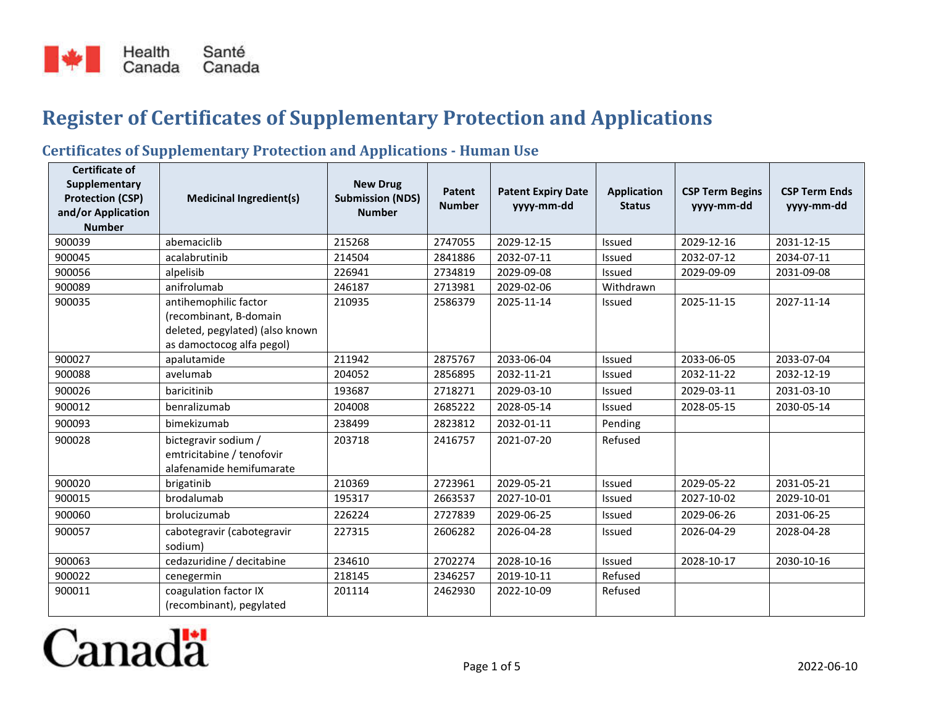

## **Register of Certificates of Supplementary Protection and Applications**

## **Certificates of Supplementary Protection and Applications - Human Use**

| <b>Certificate of</b><br>Supplementary        |                                 | <b>New Drug</b>                          |                         |                                         |                                     |                                      | <b>CSP Term Ends</b> |
|-----------------------------------------------|---------------------------------|------------------------------------------|-------------------------|-----------------------------------------|-------------------------------------|--------------------------------------|----------------------|
| <b>Protection (CSP)</b><br>and/or Application | <b>Medicinal Ingredient(s)</b>  | <b>Submission (NDS)</b><br><b>Number</b> | Patent<br><b>Number</b> | <b>Patent Expiry Date</b><br>yyyy-mm-dd | <b>Application</b><br><b>Status</b> | <b>CSP Term Begins</b><br>yyyy-mm-dd | yyyy-mm-dd           |
| <b>Number</b>                                 |                                 |                                          |                         |                                         |                                     |                                      |                      |
| 900039                                        | abemaciclib                     | 215268                                   | 2747055                 | 2029-12-15                              | Issued                              | 2029-12-16                           | 2031-12-15           |
| 900045                                        | acalabrutinib                   | 214504                                   | 2841886                 | 2032-07-11                              | <b>Issued</b>                       | 2032-07-12                           | 2034-07-11           |
| 900056                                        | alpelisib                       | 226941                                   | 2734819                 | 2029-09-08                              | Issued                              | 2029-09-09                           | 2031-09-08           |
| 900089                                        | anifrolumab                     | 246187                                   | 2713981                 | 2029-02-06                              | Withdrawn                           |                                      |                      |
| 900035                                        | antihemophilic factor           | 210935                                   | 2586379                 | 2025-11-14                              | Issued                              | 2025-11-15                           | 2027-11-14           |
|                                               | (recombinant, B-domain          |                                          |                         |                                         |                                     |                                      |                      |
|                                               | deleted, pegylated) (also known |                                          |                         |                                         |                                     |                                      |                      |
|                                               | as damoctocog alfa pegol)       |                                          |                         |                                         |                                     |                                      |                      |
| 900027                                        | apalutamide                     | 211942                                   | 2875767                 | 2033-06-04                              | <b>Issued</b>                       | 2033-06-05                           | 2033-07-04           |
| 900088                                        | avelumab                        | 204052                                   | 2856895                 | 2032-11-21                              | Issued                              | 2032-11-22                           | 2032-12-19           |
| 900026                                        | baricitinib                     | 193687                                   | 2718271                 | 2029-03-10                              | <b>Issued</b>                       | 2029-03-11                           | 2031-03-10           |
| 900012                                        | benralizumab                    | 204008                                   | 2685222                 | 2028-05-14                              | Issued                              | 2028-05-15                           | 2030-05-14           |
| 900093                                        | bimekizumab                     | 238499                                   | 2823812                 | 2032-01-11                              | Pending                             |                                      |                      |
| 900028                                        | bictegravir sodium /            | 203718                                   | 2416757                 | 2021-07-20                              | Refused                             |                                      |                      |
|                                               | emtricitabine / tenofovir       |                                          |                         |                                         |                                     |                                      |                      |
|                                               | alafenamide hemifumarate        |                                          |                         |                                         |                                     |                                      |                      |
| 900020                                        | brigatinib                      | 210369                                   | 2723961                 | 2029-05-21                              | Issued                              | 2029-05-22                           | 2031-05-21           |
| 900015                                        | brodalumab                      | 195317                                   | 2663537                 | 2027-10-01                              | Issued                              | 2027-10-02                           | 2029-10-01           |
| 900060                                        | brolucizumab                    | 226224                                   | 2727839                 | 2029-06-25                              | Issued                              | 2029-06-26                           | 2031-06-25           |
| 900057                                        | cabotegravir (cabotegravir      | 227315                                   | 2606282                 | 2026-04-28                              | Issued                              | 2026-04-29                           | 2028-04-28           |
|                                               | sodium)                         |                                          |                         |                                         |                                     |                                      |                      |
| 900063                                        | cedazuridine / decitabine       | 234610                                   | 2702274                 | 2028-10-16                              | Issued                              | 2028-10-17                           | 2030-10-16           |
| 900022                                        | cenegermin                      | 218145                                   | 2346257                 | 2019-10-11                              | Refused                             |                                      |                      |
| 900011                                        | coagulation factor IX           | 201114                                   | 2462930                 | 2022-10-09                              | Refused                             |                                      |                      |
|                                               | (recombinant), pegylated        |                                          |                         |                                         |                                     |                                      |                      |

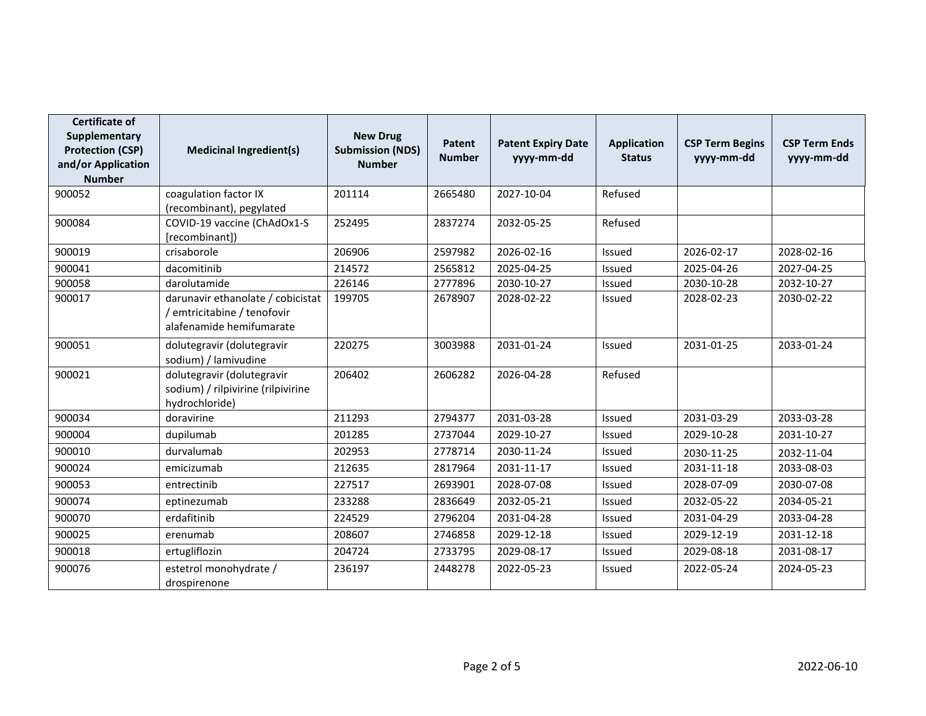| <b>Certificate of</b><br>Supplementary<br><b>Protection (CSP)</b><br>and/or Application<br><b>Number</b> | <b>Medicinal Ingredient(s)</b>                                                               | <b>New Drug</b><br><b>Submission (NDS)</b><br><b>Number</b> | Patent<br><b>Number</b> | <b>Patent Expiry Date</b><br>yyyy-mm-dd | <b>Application</b><br><b>Status</b> | <b>CSP Term Begins</b><br>yyyy-mm-dd | <b>CSP Term Ends</b><br>yyyy-mm-dd |
|----------------------------------------------------------------------------------------------------------|----------------------------------------------------------------------------------------------|-------------------------------------------------------------|-------------------------|-----------------------------------------|-------------------------------------|--------------------------------------|------------------------------------|
| 900052                                                                                                   | coagulation factor IX<br>(recombinant), pegylated                                            | 201114                                                      | 2665480                 | 2027-10-04                              | Refused                             |                                      |                                    |
| 900084                                                                                                   | COVID-19 vaccine (ChAdOx1-S<br>[recombinant])                                                | 252495                                                      | 2837274                 | 2032-05-25                              | Refused                             |                                      |                                    |
| 900019                                                                                                   | crisaborole                                                                                  | 206906                                                      | 2597982                 | 2026-02-16                              | Issued                              | 2026-02-17                           | 2028-02-16                         |
| 900041                                                                                                   | dacomitinib                                                                                  | 214572                                                      | 2565812                 | 2025-04-25                              | Issued                              | 2025-04-26                           | 2027-04-25                         |
| 900058                                                                                                   | darolutamide                                                                                 | 226146                                                      | 2777896                 | 2030-10-27                              | Issued                              | 2030-10-28                           | 2032-10-27                         |
| 900017                                                                                                   | darunavir ethanolate / cobicistat<br>/ emtricitabine / tenofovir<br>alafenamide hemifumarate | 199705                                                      | 2678907                 | 2028-02-22                              | Issued                              | 2028-02-23                           | 2030-02-22                         |
| 900051                                                                                                   | dolutegravir (dolutegravir<br>sodium) / lamivudine                                           | 220275                                                      | 3003988                 | 2031-01-24                              | Issued                              | 2031-01-25                           | 2033-01-24                         |
| 900021                                                                                                   | dolutegravir (dolutegravir<br>sodium) / rilpivirine (rilpivirine<br>hydrochloride)           | 206402                                                      | 2606282                 | 2026-04-28                              | Refused                             |                                      |                                    |
| 900034                                                                                                   | doravirine                                                                                   | 211293                                                      | 2794377                 | 2031-03-28                              | Issued                              | 2031-03-29                           | 2033-03-28                         |
| 900004                                                                                                   | dupilumab                                                                                    | 201285                                                      | 2737044                 | 2029-10-27                              | Issued                              | 2029-10-28                           | 2031-10-27                         |
| 900010                                                                                                   | durvalumab                                                                                   | 202953                                                      | 2778714                 | 2030-11-24                              | Issued                              | 2030-11-25                           | 2032-11-04                         |
| 900024                                                                                                   | emicizumab                                                                                   | 212635                                                      | 2817964                 | 2031-11-17                              | Issued                              | 2031-11-18                           | 2033-08-03                         |
| 900053                                                                                                   | entrectinib                                                                                  | 227517                                                      | 2693901                 | 2028-07-08                              | Issued                              | 2028-07-09                           | 2030-07-08                         |
| 900074                                                                                                   | eptinezumab                                                                                  | 233288                                                      | 2836649                 | 2032-05-21                              | Issued                              | 2032-05-22                           | 2034-05-21                         |
| 900070                                                                                                   | erdafitinib                                                                                  | 224529                                                      | 2796204                 | 2031-04-28                              | Issued                              | 2031-04-29                           | 2033-04-28                         |
| 900025                                                                                                   | erenumab                                                                                     | 208607                                                      | 2746858                 | 2029-12-18                              | Issued                              | 2029-12-19                           | 2031-12-18                         |
| 900018                                                                                                   | ertugliflozin                                                                                | 204724                                                      | 2733795                 | 2029-08-17                              | Issued                              | 2029-08-18                           | 2031-08-17                         |
| 900076                                                                                                   | estetrol monohydrate /<br>drospirenone                                                       | 236197                                                      | 2448278                 | 2022-05-23                              | Issued                              | 2022-05-24                           | 2024-05-23                         |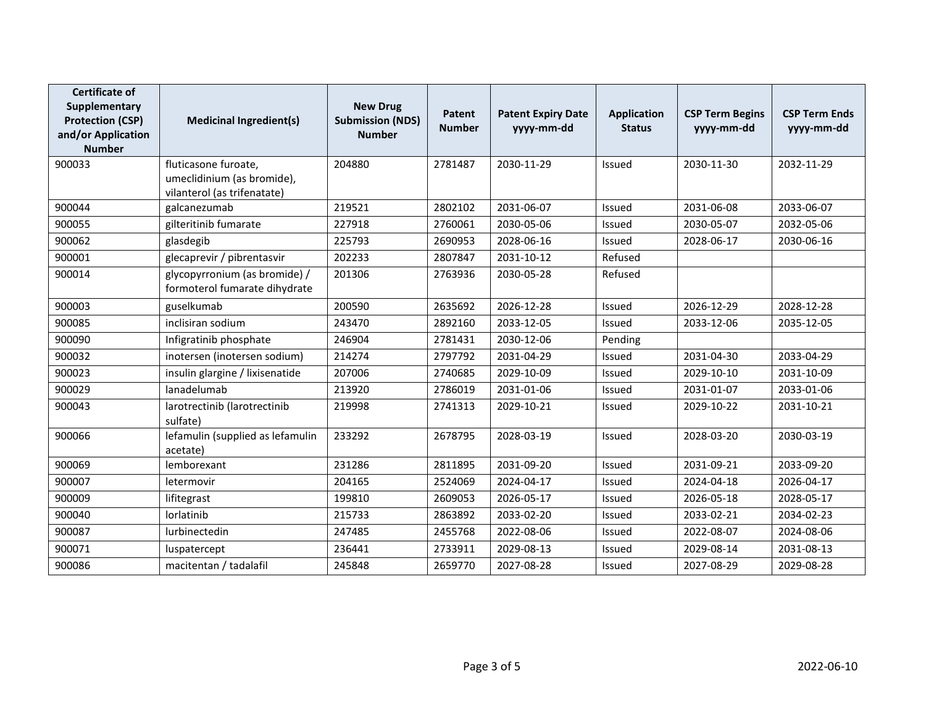| <b>Certificate of</b><br>Supplementary<br><b>Protection (CSP)</b><br>and/or Application<br><b>Number</b> | <b>Medicinal Ingredient(s)</b>                                                    | <b>New Drug</b><br><b>Submission (NDS)</b><br><b>Number</b> | <b>Patent</b><br><b>Number</b> | <b>Patent Expiry Date</b><br>yyyy-mm-dd | <b>Application</b><br><b>Status</b> | <b>CSP Term Begins</b><br>yyyy-mm-dd | <b>CSP Term Ends</b><br>yyyy-mm-dd |
|----------------------------------------------------------------------------------------------------------|-----------------------------------------------------------------------------------|-------------------------------------------------------------|--------------------------------|-----------------------------------------|-------------------------------------|--------------------------------------|------------------------------------|
| 900033                                                                                                   | fluticasone furoate.<br>umeclidinium (as bromide),<br>vilanterol (as trifenatate) | 204880                                                      | 2781487                        | 2030-11-29                              | Issued                              | 2030-11-30                           | 2032-11-29                         |
| 900044                                                                                                   | galcanezumab                                                                      | 219521                                                      | 2802102                        | 2031-06-07                              | Issued                              | 2031-06-08                           | 2033-06-07                         |
| 900055                                                                                                   | gilteritinib fumarate                                                             | 227918                                                      | 2760061                        | 2030-05-06                              | Issued                              | 2030-05-07                           | 2032-05-06                         |
| 900062                                                                                                   | glasdegib                                                                         | 225793                                                      | 2690953                        | 2028-06-16                              | Issued                              | 2028-06-17                           | 2030-06-16                         |
| 900001                                                                                                   | glecaprevir / pibrentasvir                                                        | 202233                                                      | 2807847                        | 2031-10-12                              | Refused                             |                                      |                                    |
| 900014                                                                                                   | glycopyrronium (as bromide) /<br>formoterol fumarate dihydrate                    | 201306                                                      | 2763936                        | 2030-05-28                              | Refused                             |                                      |                                    |
| 900003                                                                                                   | guselkumab                                                                        | 200590                                                      | 2635692                        | 2026-12-28                              | Issued                              | 2026-12-29                           | 2028-12-28                         |
| 900085                                                                                                   | inclisiran sodium                                                                 | 243470                                                      | 2892160                        | 2033-12-05                              | Issued                              | 2033-12-06                           | 2035-12-05                         |
| 900090                                                                                                   | Infigratinib phosphate                                                            | 246904                                                      | 2781431                        | 2030-12-06                              | Pending                             |                                      |                                    |
| 900032                                                                                                   | inotersen (inotersen sodium)                                                      | 214274                                                      | 2797792                        | 2031-04-29                              | Issued                              | 2031-04-30                           | 2033-04-29                         |
| 900023                                                                                                   | insulin glargine / lixisenatide                                                   | 207006                                                      | 2740685                        | 2029-10-09                              | Issued                              | 2029-10-10                           | 2031-10-09                         |
| 900029                                                                                                   | lanadelumab                                                                       | 213920                                                      | 2786019                        | 2031-01-06                              | Issued                              | 2031-01-07                           | 2033-01-06                         |
| 900043                                                                                                   | larotrectinib (larotrectinib<br>sulfate)                                          | 219998                                                      | 2741313                        | 2029-10-21                              | Issued                              | 2029-10-22                           | 2031-10-21                         |
| 900066                                                                                                   | lefamulin (supplied as lefamulin<br>acetate)                                      | 233292                                                      | 2678795                        | 2028-03-19                              | Issued                              | 2028-03-20                           | 2030-03-19                         |
| 900069                                                                                                   | lemborexant                                                                       | 231286                                                      | 2811895                        | 2031-09-20                              | Issued                              | 2031-09-21                           | 2033-09-20                         |
| 900007                                                                                                   | letermovir                                                                        | 204165                                                      | 2524069                        | 2024-04-17                              | Issued                              | 2024-04-18                           | 2026-04-17                         |
| 900009                                                                                                   | lifitegrast                                                                       | 199810                                                      | 2609053                        | 2026-05-17                              | Issued                              | 2026-05-18                           | 2028-05-17                         |
| 900040                                                                                                   | lorlatinib                                                                        | 215733                                                      | 2863892                        | 2033-02-20                              | Issued                              | 2033-02-21                           | 2034-02-23                         |
| 900087                                                                                                   | lurbinectedin                                                                     | 247485                                                      | 2455768                        | 2022-08-06                              | Issued                              | 2022-08-07                           | 2024-08-06                         |
| 900071                                                                                                   | luspatercept                                                                      | 236441                                                      | 2733911                        | 2029-08-13                              | Issued                              | 2029-08-14                           | 2031-08-13                         |
| 900086                                                                                                   | macitentan / tadalafil                                                            | 245848                                                      | 2659770                        | 2027-08-28                              | <b>Issued</b>                       | 2027-08-29                           | 2029-08-28                         |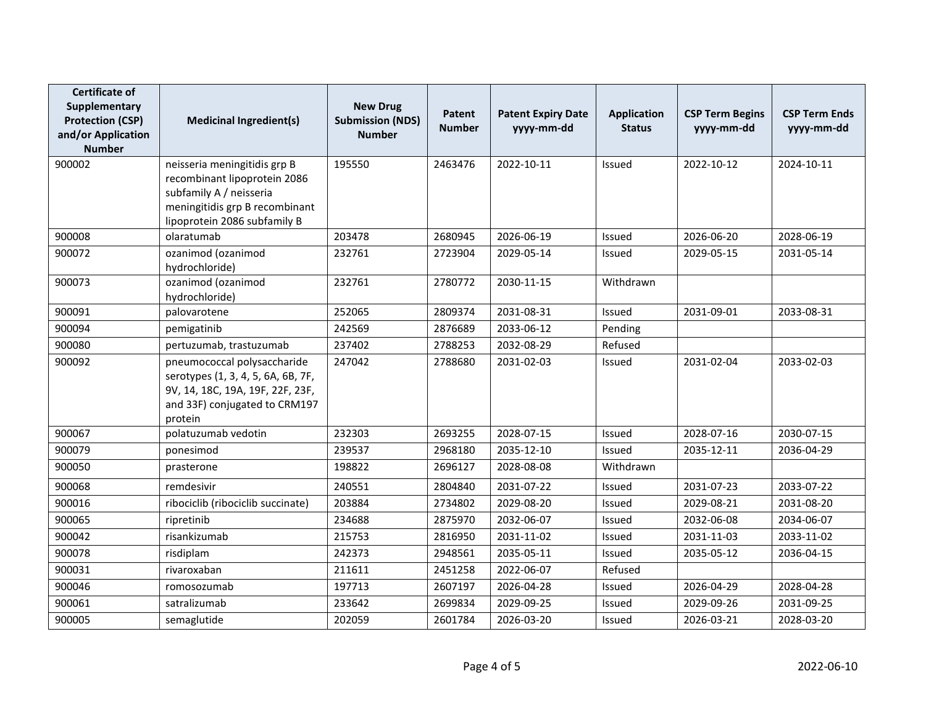| <b>Certificate of</b><br>Supplementary<br><b>Protection (CSP)</b><br>and/or Application<br><b>Number</b> | <b>Medicinal Ingredient(s)</b>                                                                                                                            | <b>New Drug</b><br><b>Submission (NDS)</b><br><b>Number</b> | Patent<br><b>Number</b> | <b>Patent Expiry Date</b><br>yyyy-mm-dd | <b>Application</b><br><b>Status</b> | <b>CSP Term Begins</b><br>yyyy-mm-dd | <b>CSP Term Ends</b><br>yyyy-mm-dd |
|----------------------------------------------------------------------------------------------------------|-----------------------------------------------------------------------------------------------------------------------------------------------------------|-------------------------------------------------------------|-------------------------|-----------------------------------------|-------------------------------------|--------------------------------------|------------------------------------|
| 900002                                                                                                   | neisseria meningitidis grp B<br>recombinant lipoprotein 2086<br>subfamily A / neisseria<br>meningitidis grp B recombinant<br>lipoprotein 2086 subfamily B | 195550                                                      | 2463476                 | 2022-10-11                              | <b>Issued</b>                       | 2022-10-12                           | 2024-10-11                         |
| 900008                                                                                                   | olaratumab                                                                                                                                                | 203478                                                      | 2680945                 | 2026-06-19                              | Issued                              | 2026-06-20                           | 2028-06-19                         |
| 900072                                                                                                   | ozanimod (ozanimod<br>hydrochloride)                                                                                                                      | 232761                                                      | 2723904                 | 2029-05-14                              | Issued                              | 2029-05-15                           | 2031-05-14                         |
| 900073                                                                                                   | ozanimod (ozanimod<br>hydrochloride)                                                                                                                      | 232761                                                      | 2780772                 | 2030-11-15                              | Withdrawn                           |                                      |                                    |
| 900091                                                                                                   | palovarotene                                                                                                                                              | 252065                                                      | 2809374                 | 2031-08-31                              | Issued                              | 2031-09-01                           | 2033-08-31                         |
| 900094                                                                                                   | pemigatinib                                                                                                                                               | 242569                                                      | 2876689                 | 2033-06-12                              | Pending                             |                                      |                                    |
| 900080                                                                                                   | pertuzumab, trastuzumab                                                                                                                                   | 237402                                                      | 2788253                 | 2032-08-29                              | Refused                             |                                      |                                    |
| 900092                                                                                                   | pneumococcal polysaccharide<br>serotypes (1, 3, 4, 5, 6A, 6B, 7F,<br>9V, 14, 18C, 19A, 19F, 22F, 23F,<br>and 33F) conjugated to CRM197<br>protein         | 247042                                                      | 2788680                 | 2031-02-03                              | <b>Issued</b>                       | 2031-02-04                           | 2033-02-03                         |
| 900067                                                                                                   | polatuzumab vedotin                                                                                                                                       | 232303                                                      | 2693255                 | 2028-07-15                              | Issued                              | 2028-07-16                           | 2030-07-15                         |
| 900079                                                                                                   | ponesimod                                                                                                                                                 | 239537                                                      | 2968180                 | 2035-12-10                              | Issued                              | 2035-12-11                           | 2036-04-29                         |
| 900050                                                                                                   | prasterone                                                                                                                                                | 198822                                                      | 2696127                 | 2028-08-08                              | Withdrawn                           |                                      |                                    |
| 900068                                                                                                   | remdesivir                                                                                                                                                | 240551                                                      | 2804840                 | 2031-07-22                              | <b>Issued</b>                       | 2031-07-23                           | 2033-07-22                         |
| 900016                                                                                                   | ribociclib (ribociclib succinate)                                                                                                                         | 203884                                                      | 2734802                 | 2029-08-20                              | Issued                              | 2029-08-21                           | 2031-08-20                         |
| 900065                                                                                                   | ripretinib                                                                                                                                                | 234688                                                      | 2875970                 | 2032-06-07                              | Issued                              | 2032-06-08                           | 2034-06-07                         |
| 900042                                                                                                   | risankizumab                                                                                                                                              | 215753                                                      | 2816950                 | 2031-11-02                              | <b>Issued</b>                       | 2031-11-03                           | 2033-11-02                         |
| 900078                                                                                                   | risdiplam                                                                                                                                                 | 242373                                                      | 2948561                 | 2035-05-11                              | <b>Issued</b>                       | 2035-05-12                           | 2036-04-15                         |
| 900031                                                                                                   | rivaroxaban                                                                                                                                               | 211611                                                      | 2451258                 | 2022-06-07                              | Refused                             |                                      |                                    |
| 900046                                                                                                   | romosozumab                                                                                                                                               | 197713                                                      | 2607197                 | 2026-04-28                              | Issued                              | 2026-04-29                           | 2028-04-28                         |
| 900061                                                                                                   | satralizumab                                                                                                                                              | 233642                                                      | 2699834                 | 2029-09-25                              | Issued                              | 2029-09-26                           | 2031-09-25                         |
| 900005                                                                                                   | semaglutide                                                                                                                                               | 202059                                                      | 2601784                 | 2026-03-20                              | Issued                              | 2026-03-21                           | 2028-03-20                         |